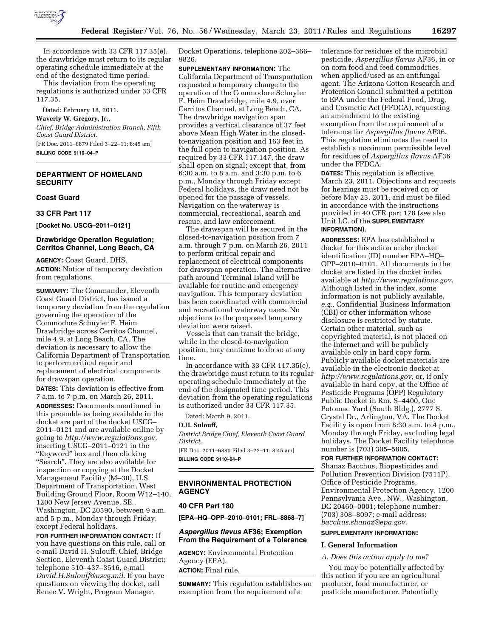

In accordance with 33 CFR 117.35(e), the drawbridge must return to its regular operating schedule immediately at the end of the designated time period.

This deviation from the operating regulations is authorized under 33 CFR 117.35.

Dated: February 18, 2011.

### **Waverly W. Gregory, Jr.,**

*Chief, Bridge Administration Branch, Fifth Coast Guard District.* 

[FR Doc. 2011–6879 Filed 3–22–11; 8:45 am]

**BILLING CODE 9110–04–P** 

# **DEPARTMENT OF HOMELAND SECURITY**

# **Coast Guard**

**33 CFR Part 117** 

**[Docket No. USCG–2011–0121]** 

# **Drawbridge Operation Regulation; Cerritos Channel, Long Beach, CA**

**AGENCY:** Coast Guard, DHS.

**ACTION:** Notice of temporary deviation from regulations.

**SUMMARY:** The Commander, Eleventh Coast Guard District, has issued a temporary deviation from the regulation governing the operation of the Commodore Schuyler F. Heim Drawbridge across Cerritos Channel, mile 4.9, at Long Beach, CA. The deviation is necessary to allow the California Department of Transportation to perform critical repair and replacement of electrical components for drawspan operation.

**DATES:** This deviation is effective from 7 a.m. to 7 p.m. on March 26, 2011.

**ADDRESSES:** Documents mentioned in this preamble as being available in the docket are part of the docket USCG– 2011–0121 and are available online by going to *[http://www.regulations.gov,](http://www.regulations.gov)*  inserting USCG–2011–0121 in the ''Keyword'' box and then clicking "Search". They are also available for inspection or copying at the Docket Management Facility (M–30), U.S. Department of Transportation, West Building Ground Floor, Room W12–140, 1200 New Jersey Avenue, SE., Washington, DC 20590, between 9 a.m. and 5 p.m., Monday through Friday, except Federal holidays.

**FOR FURTHER INFORMATION CONTACT:** If you have questions on this rule, call or e-mail David H. Sulouff, Chief, Bridge Section, Eleventh Coast Guard District; telephone 510–437–3516, e-mail *[David.H.Sulouff@uscg.mil.](mailto:David.H.Sulouff@uscg.mil)* If you have questions on viewing the docket, call Renee V. Wright, Program Manager,

Docket Operations, telephone 202–366– 9826.

**SUPPLEMENTARY INFORMATION:** The California Department of Transportation requested a temporary change to the operation of the Commodore Schuyler F. Heim Drawbridge, mile 4.9, over Cerritos Channel, at Long Beach, CA. The drawbridge navigation span provides a vertical clearance of 37 feet above Mean High Water in the closedto-navigation position and 163 feet in the full open to navigation position. As required by 33 CFR 117.147, the draw shall open on signal; except that, from 6:30 a.m. to 8 a.m. and 3:30 p.m. to 6 p.m., Monday through Friday except Federal holidays, the draw need not be opened for the passage of vessels. Navigation on the waterway is commercial, recreational, search and rescue, and law enforcement.

The drawspan will be secured in the closed-to-navigation position from 7 a.m. through 7 p.m. on March 26, 2011 to perform critical repair and replacement of electrical components for drawspan operation. The alternative path around Terminal Island will be available for routine and emergency navigation. This temporary deviation has been coordinated with commercial and recreational waterway users. No objections to the proposed temporary deviation were raised.

Vessels that can transit the bridge, while in the closed-to-navigation position, may continue to do so at any time.

In accordance with 33 CFR 117.35(e), the drawbridge must return to its regular operating schedule immediately at the end of the designated time period. This deviation from the operating regulations is authorized under 33 CFR 117.35.

Dated: March 9, 2011.

### **D.H. Sulouff,**

*District Bridge Chief, Eleventh Coast Guard District.* 

[FR Doc. 2011–6880 Filed 3–22–11; 8:45 am] **BILLING CODE 9110–04–P** 

## **ENVIRONMENTAL PROTECTION AGENCY**

### **40 CFR Part 180**

**[EPA–HQ–OPP–2010–0101; FRL–8868–7]** 

## *Aspergillus flavus* **AF36; Exemption From the Requirement of a Tolerance**

**AGENCY:** Environmental Protection Agency (EPA). **ACTION:** Final rule.

**SUMMARY:** This regulation establishes an exemption from the requirement of a

tolerance for residues of the microbial pesticide, *Aspergillus flavus* AF36, in or on corn food and feed commodities, when applied/used as an antifungal agent. The Arizona Cotton Research and Protection Council submitted a petition to EPA under the Federal Food, Drug, and Cosmetic Act (FFDCA), requesting an amendment to the existing exemption from the requirement of a tolerance for *Aspergillus flavus* AF36. This regulation eliminates the need to establish a maximum permissible level for residues of *Aspergillus flavus* AF36 under the FFDCA.

**DATES:** This regulation is effective March 23, 2011. Objections and requests for hearings must be received on or before May 23, 2011, and must be filed in accordance with the instructions provided in 40 CFR part 178 (*see* also Unit I.C. of the **SUPPLEMENTARY INFORMATION**).

**ADDRESSES:** EPA has established a docket for this action under docket identification (ID) number EPA–HQ– OPP–2010–0101. All documents in the docket are listed in the docket index available at *[http://www.regulations.gov.](http://www.regulations.gov)*  Although listed in the index, some information is not publicly available, *e.g.,* Confidential Business Information (CBI) or other information whose disclosure is restricted by statute. Certain other material, such as copyrighted material, is not placed on the Internet and will be publicly available only in hard copy form. Publicly available docket materials are available in the electronic docket at *[http://www.regulations.gov,](http://www.regulations.gov)* or, if only available in hard copy, at the Office of Pesticide Programs (OPP) Regulatory Public Docket in Rm. S–4400, One Potomac Yard (South Bldg.), 2777 S. Crystal Dr., Arlington, VA. The Docket Facility is open from 8:30 a.m. to 4 p.m., Monday through Friday, excluding legal holidays. The Docket Facility telephone number is (703) 305–5805.

#### **FOR FURTHER INFORMATION CONTACT:**

Shanaz Bacchus, Biopesticides and Pollution Prevention Division (7511P), Office of Pesticide Programs, Environmental Protection Agency, 1200 Pennsylvania Ave., NW., Washington, DC 20460–0001; telephone number: (703) 308–8097; e-mail address: *[bacchus.shanaz@epa.gov.](mailto:bacchus.shanaz@epa.gov)* 

### **SUPPLEMENTARY INFORMATION:**

## **I. General Information**

### *A. Does this action apply to me?*

You may be potentially affected by this action if you are an agricultural producer, food manufacturer, or pesticide manufacturer. Potentially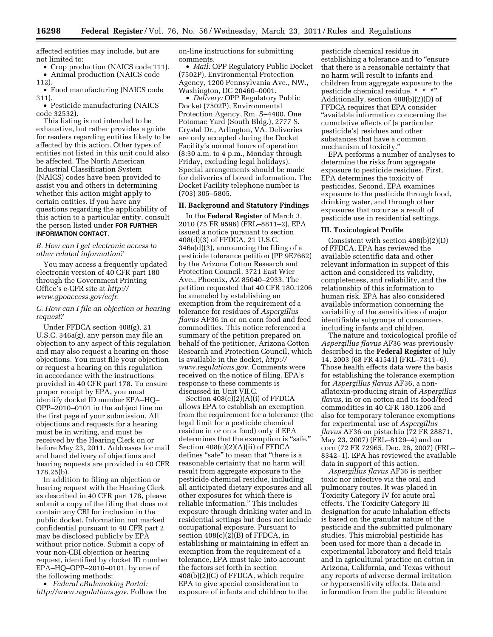affected entities may include, but are not limited to:

• Crop production (NAICS code 111). • Animal production (NAICS code

112).

• Food manufacturing (NAICS code 311).

• Pesticide manufacturing (NAICS code 32532).

This listing is not intended to be exhaustive, but rather provides a guide for readers regarding entities likely to be affected by this action. Other types of entities not listed in this unit could also be affected. The North American Industrial Classification System (NAICS) codes have been provided to assist you and others in determining whether this action might apply to certain entities. If you have any questions regarding the applicability of this action to a particular entity, consult the person listed under **FOR FURTHER INFORMATION CONTACT**.

### *B. How can I get electronic access to other related information?*

You may access a frequently updated electronic version of 40 CFR part 180 through the Government Printing Office's e-CFR site at *[http://](http://www.gpoaccess.gov/ecfr)  [www.gpoaccess.gov/ecfr.](http://www.gpoaccess.gov/ecfr)* 

# *C. How can I file an objection or hearing request?*

Under FFDCA section 408(g), 21 U.S.C. 346a(g), any person may file an objection to any aspect of this regulation and may also request a hearing on those objections. You must file your objection or request a hearing on this regulation in accordance with the instructions provided in 40 CFR part 178. To ensure proper receipt by EPA, you must identify docket ID number EPA–HQ– OPP–2010–0101 in the subject line on the first page of your submission. All objections and requests for a hearing must be in writing, and must be received by the Hearing Clerk on or before May 23, 2011. Addresses for mail and hand delivery of objections and hearing requests are provided in 40 CFR 178.25(b).

In addition to filing an objection or hearing request with the Hearing Clerk as described in 40 CFR part 178, please submit a copy of the filing that does not contain any CBI for inclusion in the public docket. Information not marked confidential pursuant to 40 CFR part 2 may be disclosed publicly by EPA without prior notice. Submit a copy of your non-CBI objection or hearing request, identified by docket ID number EPA–HQ–OPP–2010–0101, by one of the following methods:

• *Federal eRulemaking Portal: [http://www.regulations.gov.](http://www.regulations.gov)* Follow the on-line instructions for submitting comments.

• *Mail:* OPP Regulatory Public Docket (7502P), Environmental Protection Agency, 1200 Pennsylvania Ave., NW., Washington, DC 20460–0001.

• *Delivery:* OPP Regulatory Public Docket (7502P), Environmental Protection Agency, Rm. S–4400, One Potomac Yard (South Bldg.), 2777 S. Crystal Dr., Arlington, VA. Deliveries are only accepted during the Docket Facility's normal hours of operation (8:30 a.m. to 4 p.m., Monday through Friday, excluding legal holidays). Special arrangements should be made for deliveries of boxed information. The Docket Facility telephone number is (703) 305–5805.

# **II. Background and Statutory Findings**

In the **Federal Register** of March 3, 2010 (75 FR 9596) (FRL–8811–2), EPA issued a notice pursuant to section 408(d)(3) of FFDCA, 21 U.S.C. 346a(d)(3), announcing the filing of a pesticide tolerance petition (PP 9E7662) by the Arizona Cotton Research and Protection Council, 3721 East Wier Ave., Phoenix, AZ 85040–2933. The petition requested that 40 CFR 180.1206 be amended by establishing an exemption from the requirement of a tolerance for residues of *Aspergillus flavus* AF36 in or on corn food and feed commodities. This notice referenced a summary of the petition prepared on behalf of the petitioner, Arizona Cotton Research and Protection Council, which is available in the docket, *[http://](http://www.regulations.gov) [www.regulations.gov.](http://www.regulations.gov)* Comments were received on the notice of filing. EPA's response to these comments is discussed in Unit VII.C.

Section 408(c)(2)(A)(i) of FFDCA allows EPA to establish an exemption from the requirement for a tolerance (the legal limit for a pesticide chemical residue in or on a food) only if EPA determines that the exemption is "safe." Section 408(c)(2)(A)(ii) of FFDCA defines "safe" to mean that "there is a reasonable certainty that no harm will result from aggregate exposure to the pesticide chemical residue, including all anticipated dietary exposures and all other exposures for which there is reliable information.'' This includes exposure through drinking water and in residential settings but does not include occupational exposure. Pursuant to section  $408(c)(2)(B)$  of FFDCA, in establishing or maintaining in effect an exemption from the requirement of a tolerance, EPA must take into account the factors set forth in section 408(b)(2)(C) of FFDCA, which require EPA to give special consideration to exposure of infants and children to the

pesticide chemical residue in establishing a tolerance and to ''ensure that there is a reasonable certainty that no harm will result to infants and children from aggregate exposure to the pesticide chemical residue. \* \* \*" Additionally, section 408(b)(2)(D) of FFDCA requires that EPA consider ''available information concerning the cumulative effects of [a particular pesticide's] residues and other substances that have a common mechanism of toxicity.''

EPA performs a number of analyses to determine the risks from aggregate exposure to pesticide residues. First, EPA determines the toxicity of pesticides. Second, EPA examines exposure to the pesticide through food, drinking water, and through other exposures that occur as a result of pesticide use in residential settings.

### **III. Toxicological Profile**

Consistent with section 408(b)(2)(D) of FFDCA, EPA has reviewed the available scientific data and other relevant information in support of this action and considered its validity, completeness, and reliability, and the relationship of this information to human risk. EPA has also considered available information concerning the variability of the sensitivities of major identifiable subgroups of consumers, including infants and children.

The nature and toxicological profile of *Aspergillus flavus* AF36 was previously described in the **Federal Register** of July 14, 2003 (68 FR 41541) (FRL–7311–6). Those health effects data were the basis for establishing the tolerance exemption for *Aspergillus flavus* AF36, a nonaflatoxin-producing strain of *Aspergillus flavus,* in or on cotton and its food/feed commodities in 40 CFR 180.1206 and also for temporary tolerance exemptions for experimental use of *Aspergillus flavus* AF36 on pistachio (72 FR 28871, May 23, 2007) (FRL–8129–4) and on corn (72 FR 72965, Dec. 26, 2007) (FRL– 8342–1). EPA has reviewed the available data in support of this action.

*Aspergillus flavus* AF36 is neither toxic nor infective via the oral and pulmonary routes. It was placed in Toxicity Category IV for acute oral effects. The Toxicity Category III designation for acute inhalation effects is based on the granular nature of the pesticide and the submitted pulmonary studies. This microbial pesticide has been used for more than a decade in experimental laboratory and field trials and in agricultural practice on cotton in Arizona, California, and Texas without any reports of adverse dermal irritation or hypersensitivity effects. Data and information from the public literature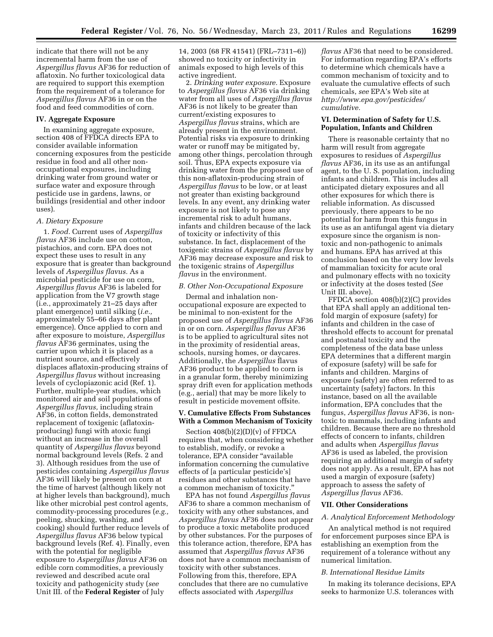indicate that there will not be any incremental harm from the use of *Aspergillus flavus* AF36 for reduction of aflatoxin. No further toxicological data are required to support this exemption from the requirement of a tolerance for *Aspergillus flavus* AF36 in or on the food and feed commodities of corn.

## **IV. Aggregate Exposure**

In examining aggregate exposure, section 408 of FFDCA directs EPA to consider available information concerning exposures from the pesticide residue in food and all other nonoccupational exposures, including drinking water from ground water or surface water and exposure through pesticide use in gardens, lawns, or buildings (residential and other indoor uses).

### *A. Dietary Exposure*

1. *Food.* Current uses of *Aspergillus flavus* AF36 include use on cotton, pistachios, and corn. EPA does not expect these uses to result in any exposure that is greater than background levels of *Aspergillus flavus.* As a microbial pesticide for use on corn, *Aspergillus flavus* AF36 is labeled for application from the V7 growth stage (i.e., approximately 21–25 days after plant emergence) until silking (*i.e.,*  approximately 55–66 days after plant emergence). Once applied to corn and after exposure to moisture, *Aspergillus flavus* AF36 germinates, using the carrier upon which it is placed as a nutrient source, and effectively displaces aflatoxin-producing strains of *Aspergillus flavus* without increasing levels of cyclopiazonic acid (Ref. 1). Further, multiple-year studies, which monitored air and soil populations of *Aspergillus flavus,* including strain AF36, in cotton fields, demonstrated replacement of toxigenic (aflatoxinproducing) fungi with atoxic fungi without an increase in the overall quantity of *Aspergillus flavus* beyond normal background levels (Refs. 2 and 3). Although residues from the use of pesticides containing *Aspergillus flavus*  AF36 will likely be present on corn at the time of harvest (although likely not at higher levels than background), much like other microbial pest control agents, commodity-processing procedures (*e.g.,*  peeling, shucking, washing, and cooking) should further reduce levels of *Aspergillus flavus* AF36 below typical background levels (Ref. 4). Finally, even with the potential for negligible exposure to *Aspergillus flavus* AF36 on edible corn commodities, a previously reviewed and described acute oral toxicity and pathogenicity study (*see*  Unit III. of the **Federal Register** of July

14, 2003 (68 FR 41541) (FRL–7311–6)) showed no toxicity or infectivity in animals exposed to high levels of this active ingredient.

2. *Drinking water exposure.* Exposure to *Aspergillus flavus* AF36 via drinking water from all uses of *Aspergillus flavus*  AF36 is not likely to be greater than current/existing exposures to *Aspergillus flavus* strains, which are already present in the environment. Potential risks via exposure to drinking water or runoff may be mitigated by, among other things, percolation through soil. Thus, EPA expects exposure via drinking water from the proposed use of this non-aflatoxin-producing strain of *Aspergillus flavus* to be low, or at least not greater than existing background levels. In any event, any drinking water exposure is not likely to pose any incremental risk to adult humans, infants and children because of the lack of toxicity or infectivity of this substance. In fact, displacement of the toxigenic strains of *Aspergillus flavus* by AF36 may decrease exposure and risk to the toxigenic strains of *Aspergillus flavus* in the environment.

### *B. Other Non-Occupational Exposure*

Dermal and inhalation nonoccupational exposure are expected to be minimal to non-existent for the proposed use of *Aspergillus flavus* AF36 in or on corn. *Aspergillus flavus* AF36 is to be applied to agricultural sites not in the proximity of residential areas, schools, nursing homes, or daycares. Additionally, the *Aspergillus* flavus AF36 product to be applied to corn is in a granular form, thereby minimizing spray drift even for application methods (e.g., aerial) that may be more likely to result in pesticide movement offsite.

### **V. Cumulative Effects From Substances With a Common Mechanism of Toxicity**

Section 408(b)(2)(D)(v) of FFDCA requires that, when considering whether to establish, modify, or revoke a tolerance, EPA consider ''available information concerning the cumulative effects of [a particular pesticide's] residues and other substances that have a common mechanism of toxicity.

EPA has not found *Aspergillus flavus*  AF36 to share a common mechanism of toxicity with any other substances, and *Aspergillus flavus* AF36 does not appear to produce a toxic metabolite produced by other substances. For the purposes of this tolerance action, therefore, EPA has assumed that *Aspergillus flavus* AF36 does not have a common mechanism of toxicity with other substances. Following from this, therefore, EPA concludes that there are no cumulative effects associated with *Aspergillus* 

*flavus* AF36 that need to be considered. For information regarding EPA's efforts to determine which chemicals have a common mechanism of toxicity and to evaluate the cumulative effects of such chemicals, *see* EPA's Web site at *[http://www.epa.gov/pesticides/](http://www.epa.gov/pesticides/cumulative) [cumulative.](http://www.epa.gov/pesticides/cumulative)* 

## **VI. Determination of Safety for U.S. Population, Infants and Children**

There is reasonable certainty that no harm will result from aggregate exposures to residues of *Aspergillus flavus* AF36, in its use as an antifungal agent, to the U. S. population, including infants and children. This includes all anticipated dietary exposures and all other exposures for which there is reliable information. As discussed previously, there appears to be no potential for harm from this fungus in its use as an antifungal agent via dietary exposure since the organism is nontoxic and non-pathogenic to animals and humans. EPA has arrived at this conclusion based on the very low levels of mammalian toxicity for acute oral and pulmonary effects with no toxicity or infectivity at the doses tested (*See*  Unit III. above).

FFDCA section 408(b)(2)(C) provides that EPA shall apply an additional tenfold margin of exposure (safety) for infants and children in the case of threshold effects to account for prenatal and postnatal toxicity and the completeness of the data base unless EPA determines that a different margin of exposure (safety) will be safe for infants and children. Margins of exposure (safety) are often referred to as uncertainty (safety) factors. In this instance, based on all the available information, EPA concludes that the fungus, *Aspergillus flavus* AF36, is nontoxic to mammals, including infants and children. Because there are no threshold effects of concern to infants, children and adults when *Aspergillus flavus*  AF36 is used as labeled, the provision requiring an additional margin of safety does not apply. As a result, EPA has not used a margin of exposure (safety) approach to assess the safety of *Aspergillus flavus* AF36.

### **VII. Other Considerations**

#### *A. Analytical Enforcement Methodology*

An analytical method is not required for enforcement purposes since EPA is establishing an exemption from the requirement of a tolerance without any numerical limitation.

#### *B. International Residue Limits*

In making its tolerance decisions, EPA seeks to harmonize U.S. tolerances with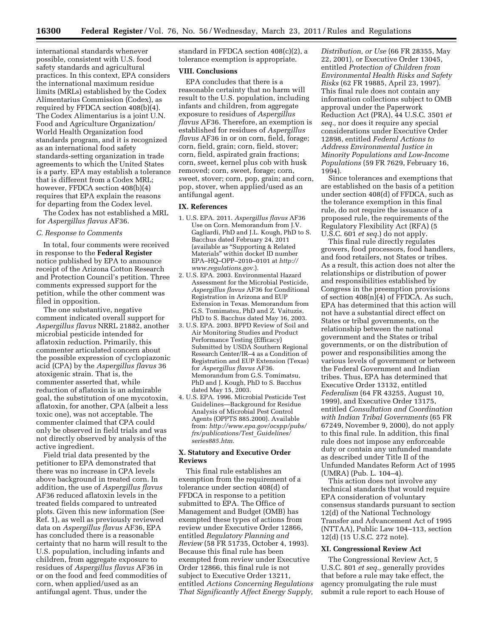international standards whenever possible, consistent with U.S. food safety standards and agricultural practices. In this context, EPA considers the international maximum residue limits (MRLs) established by the Codex Alimentarius Commission (Codex), as required by FFDCA section 408(b)(4). The Codex Alimentarius is a joint U.N. Food and Agriculture Organization/ World Health Organization food standards program, and it is recognized as an international food safety standards-setting organization in trade agreements to which the United States is a party. EPA may establish a tolerance that is different from a Codex MRL; however, FFDCA section 408(b)(4) requires that EPA explain the reasons for departing from the Codex level.

The Codex has not established a MRL for *Aspergillus flavus* AF36.

### *C. Response to Comments*

In total, four comments were received in response to the **Federal Register**  notice published by EPA to announce receipt of the Arizona Cotton Research and Protection Council's petition. Three comments expressed support for the petition, while the other comment was filed in opposition.

The one substantive, negative comment indicated overall support for *Aspergillus flavus* NRRL 21882, another microbial pesticide intended for aflatoxin reduction. Primarily, this commenter articulated concern about the possible expression of cyclopiazonic acid (CPA) by the *Aspergillus flavus* 36 atoxigenic strain. That is, the commenter asserted that, while reduction of aflatoxin is an admirable goal, the substitution of one mycotoxin, aflatoxin, for another, CPA (albeit a less toxic one), was not acceptable. The commenter claimed that CPA could only be observed in field trials and was not directly observed by analysis of the active ingredient.

Field trial data presented by the petitioner to EPA demonstrated that there was no increase in CPA levels above background in treated corn. In addition, the use of *Aspergillus flavus*  AF36 reduced aflatoxin levels in the treated fields compared to untreated plots. Given this new information (See Ref. 1), as well as previously reviewed data on *Aspergillus flavus* AF36, EPA has concluded there is a reasonable certainty that no harm will result to the U.S. population, including infants and children, from aggregate exposure to residues of *Aspergillus flavus* AF36 in or on the food and feed commodities of corn, when applied/used as an antifungal agent. Thus, under the

standard in FFDCA section 408(c)(2), a tolerance exemption is appropriate.

#### **VIII. Conclusions**

EPA concludes that there is a reasonable certainty that no harm will result to the U.S. population, including infants and children, from aggregate exposure to residues of *Aspergillus flavus* AF36. Therefore, an exemption is established for residues of *Aspergillus flavus* AF36 in or on corn, field, forage; corn, field, grain; corn, field, stover; corn, field, aspirated grain fractions; corn, sweet, kernel plus cob with husk removed; corn, sweet, forage; corn, sweet, stover; corn, pop, grain; and corn, pop, stover, when applied/used as an antifungal agent.

#### **IX. References**

- 1. U.S. EPA. 2011. *Aspergillus flavus* AF36 Use on Corn. Memorandum from J.V. Gagliardi, PhD and J.L. Kough, PhD to S. Bacchus dated February 24, 2011 (available as ''Supporting & Related Materials'' within docket ID number EPA–HQ–OPP–2010–0101 at *[http://](http://www.regulations.gov) [www.regulations.gov.](http://www.regulations.gov)*).
- 2. U.S. EPA. 2003. Environmental Hazard Assessment for the Microbial Pesticide, *Aspergillus flavus* AF36 for Conditional Registration in Arizona and EUP Extension in Texas. Memorandum from G.S. Tomimatsu, PhD and Z. Vaituzis, PhD to S. Bacchus dated May 16, 2003.
- 3. U.S. EPA. 2003. BPPD Review of Soil and Air Monitoring Studies and Product Performance Testing (Efficacy) Submitted by USDA Southern Regional Research Center/IR–4 as a Condition of Registration and EUP Extension (Texas) for *Aspergillus flavus* AF36. Memorandum from G.S. Tomimatsu, PhD and J. Kough, PhD to S. Bacchus dated May 15, 2003.
- 4. U.S. EPA. 1996. Microbial Pesticide Test Guidelines—Background for Residue Analysis of Microbial Pest Control Agents (OPPTS 885.2000). Available from: *[http://www.epa.gov/ocspp/pubs/](http://www.epa.gov/ocspp/pubs/frs/publications/Test_Guidelines/series885.htm)  [frs/publications/Test](http://www.epa.gov/ocspp/pubs/frs/publications/Test_Guidelines/series885.htm)*\_*Guidelines/ [series885.htm.](http://www.epa.gov/ocspp/pubs/frs/publications/Test_Guidelines/series885.htm)*

## **X. Statutory and Executive Order Reviews**

This final rule establishes an exemption from the requirement of a tolerance under section 408(d) of FFDCA in response to a petition submitted to EPA. The Office of Management and Budget (OMB) has exempted these types of actions from review under Executive Order 12866, entitled *Regulatory Planning and Review* (58 FR 51735, October 4, 1993). Because this final rule has been exempted from review under Executive Order 12866, this final rule is not subject to Executive Order 13211, entitled *Actions Concerning Regulations That Significantly Affect Energy Supply,* 

*Distribution, or Use* (66 FR 28355, May 22, 2001), or Executive Order 13045, entitled *Protection of Children from Environmental Health Risks and Safety Risks* (62 FR 19885, April 23, 1997). This final rule does not contain any information collections subject to OMB approval under the Paperwork Reduction Act (PRA), 44 U.S.C. 3501 *et seq.,* nor does it require any special considerations under Executive Order 12898, entitled *Federal Actions to Address Environmental Justice in Minority Populations and Low-Income Populations* (59 FR 7629, February 16, 1994).

Since tolerances and exemptions that are established on the basis of a petition under section 408(d) of FFDCA, such as the tolerance exemption in this final rule, do not require the issuance of a proposed rule, the requirements of the Regulatory Flexibility Act (RFA) (5 U.S.C. 601 *et seq.*) do not apply.

This final rule directly regulates growers, food processors, food handlers, and food retailers, not States or tribes. As a result, this action does not alter the relationships or distribution of power and responsibilities established by Congress in the preemption provisions of section 408(n)(4) of FFDCA. As such, EPA has determined that this action will not have a substantial direct effect on States or tribal governments, on the relationship between the national government and the States or tribal governments, or on the distribution of power and responsibilities among the various levels of government or between the Federal Government and Indian tribes. Thus, EPA has determined that Executive Order 13132, entitled *Federalism* (64 FR 43255, August 10, 1999), and Executive Order 13175, entitled *Consultation and Coordination with Indian Tribal Governments* (65 FR 67249, November 9, 2000), do not apply to this final rule. In addition, this final rule does not impose any enforceable duty or contain any unfunded mandate as described under Title II of the Unfunded Mandates Reform Act of 1995 (UMRA) (Pub. L. 104–4).

This action does not involve any technical standards that would require EPA consideration of voluntary consensus standards pursuant to section 12(d) of the National Technology Transfer and Advancement Act of 1995 (NTTAA), Public Law 104–113, section 12(d) (15 U.S.C. 272 note).

#### **XI. Congressional Review Act**

The Congressional Review Act, 5 U.S.C. 801 *et seq.,* generally provides that before a rule may take effect, the agency promulgating the rule must submit a rule report to each House of